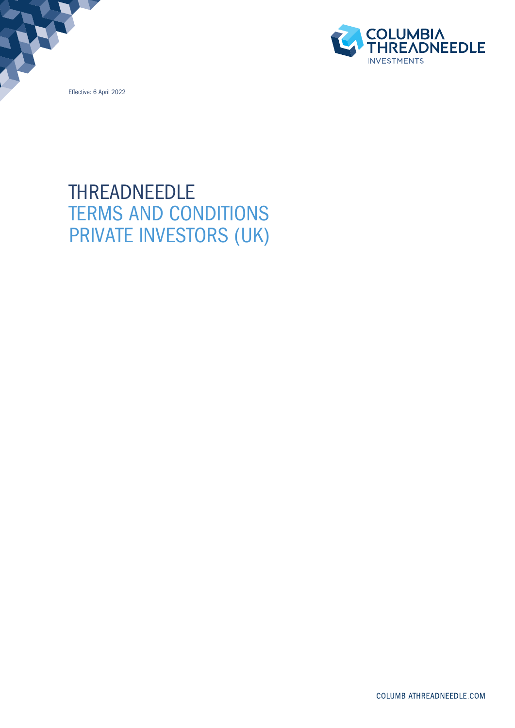Effective: 6 April 2022



# THREADNEEDLE TERMS AND CONDITIONS PRIVATE INVESTORS (UK)

COLUMBIATHREADNEEDLE.COM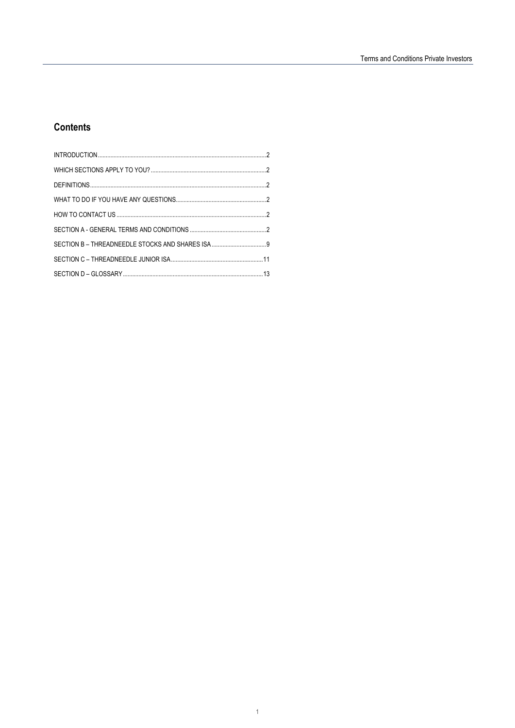## **Contents**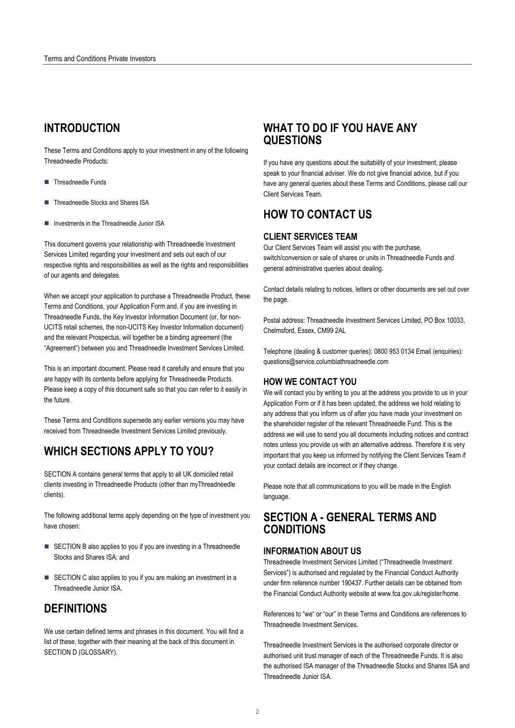## **INTRODUCTION**

These Terms and Conditions apply to your investment in any of the following Threadneedle Products:

- Threadneedle Funds
- **Threadneedle Stocks and Shares ISA**
- Investments in the Threadneedle Junior ISA

This document governs your relationship with Threadneedle Investment Services Limited regarding your investment and sets out each of our respective rights and responsibilities as well as the rights and responsibilities of our agents and delegates.

When we accept your application to purchase a Threadneedle Product, these Terms and Conditions, your Application Form and, if you are investing in Threadneedle Funds, the Key Investor Information Document (or, for non-UCITS retail schemes, the non-UCITS Key Investor Information document) and the relevant Prospectus, will together be a binding agreement (the "Agreement") between you and Threadneedle Investment Services Limited.

This is an important document. Please read it carefully and ensure that you are happy with its contents before applying for Threadneedle Products. Please keep a copy of this document safe so that you can refer to it easily in the future.

These Terms and Conditions supersede any earlier versions you may have received from Threadneedle Investment Services Limited previously.

## **WHICH SECTIONS APPLY TO YOU?**

SECTION A contains general terms that apply to all UK domiciled retail clients investing in Threadneedle Products (other than myThreadneedle clients).

The following additional terms apply depending on the type of investment you have chosen:

- SECTION B also applies to you if you are investing in a Threadneedle Stocks and Shares ISA; and
- SECTION C also applies to you if you are making an investment in a Threadneedle Junior ISA.

## **DEFINITIONS**

We use certain defined terms and phrases in this document. You will find a list of these, together with their meaning at the back of this document in SECTION D (GLOSSARY).

## **WHAT TO DO IF YOU HAVE ANY QUESTIONS**

If you have any questions about the suitability of your investment, please speak to your financial adviser. We do not give financial advice, but if you have any general queries about these Terms and Conditions, please call our Client Services Team.

## **HOW TO CONTACT US**

## **CLIENT SERVICES TEAM**

Our Client Services Team will assist you with the purchase, switch/conversion or sale of shares or units in Threadneedle Funds and general administrative queries about dealing.

Contact details relating to notices, letters or other documents are set out over the page.

Postal address: Threadneedle Investment Services Limited, PO Box 10033, Chelmsford, Essex, CM99 2AL

Telephone (dealing & customer queries): 0800 953 0134 Email (enquiries): questions@service.columbiathreadneedle.com

## **HOW WE CONTACT YOU**

We will contact you by writing to you at the address you provide to us in your Application Form or if it has been updated, the address we hold relating to any address that you inform us of after you have made your investment on the shareholder register of the relevant Threadneedle Fund. This is the address we will use to send you all documents including notices and contract notes unless you provide us with an alternative address. Therefore it is very important that you keep us informed by notifying the Client Services Team if your contact details are incorrect or if they change.

Please note that all communications to you will be made in the English language.

## **SECTION A - GENERAL TERMS AND CONDITIONS**

## **INFORMATION ABOUT US**

Threadneedle Investment Services Limited ("Threadneedle Investment Services") is authorised and regulated by the Financial Conduct Authority under firm reference number 190437. Further details can be obtained from the Financial Conduct Authority website at www.fca.gov.uk/register/home.

References to "we" or "our" in these Terms and Conditions are references to Threadneedle Investment Services.

Threadneedle Investment Services is the authorised corporate director or authorised unit trust manager of each of the Threadneedle Funds. It is also the authorised ISA manager of the Threadneedle Stocks and Shares ISA and Threadneedle Junior ISA.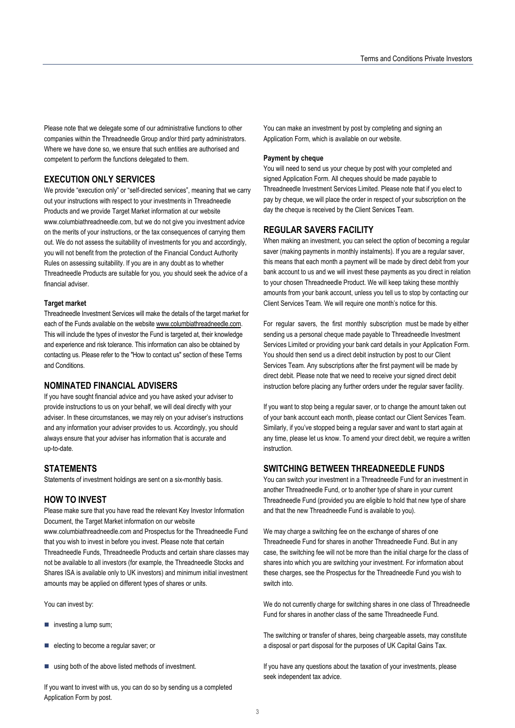Please note that we delegate some of our administrative functions to other companies within the Threadneedle Group and/or third party administrators. Where we have done so, we ensure that such entities are authorised and competent to perform the functions delegated to them.

## **EXECUTION ONLY SERVICES**

We provide "execution only" or "self-directed services", meaning that we carry out your instructions with respect to your investments in Threadneedle Products and we provide Target Market information at our website www.columbiathreadneedle.com, but we do not give you investment advice on the merits of your instructions, or the tax consequences of carrying them out. We do not assess the suitability of investments for you and accordingly, you will not benefit from the protection of the Financial Conduct Authority Rules on assessing suitability. If you are in any doubt as to whether Threadneedle Products are suitable for you, you should seek the advice of a financial adviser.

#### **Target market**

Threadneedle Investment Services will make the details of the target market for each of the Funds available on the website www.columbiathreadneedle.com. This will include the types of investor the Fund is targeted at, their knowledge and experience and risk tolerance. This information can also be obtained by contacting us. Please refer to the "How to contact us" section of these Terms and Conditions.

## **NOMINATED FINANCIAL ADVISERS**

If you have sought financial advice and you have asked your adviser to provide instructions to us on your behalf, we will deal directly with your adviser. In these circumstances, we may rely on your adviser's instructions and any information your adviser provides to us. Accordingly, you should always ensure that your adviser has information that is accurate and up-to-date.

## **STATEMENTS**

Statements of investment holdings are sent on a six-monthly basis.

### **HOW TO INVEST**

Please make sure that you have read the relevant Key Investor Information Document, the Target Market information on our website www.columbiathreadneedle.com and Prospectus for the Threadneedle Fund that you wish to invest in before you invest. Please note that certain Threadneedle Funds, Threadneedle Products and certain share classes may not be available to all investors (for example, the Threadneedle Stocks and Shares ISA is available only to UK investors) and minimum initial investment amounts may be applied on different types of shares or units.

You can invest by:

- $\blacksquare$  investing a lump sum;
- electing to become a regular saver; or
- using both of the above listed methods of investment.

If you want to invest with us, you can do so by sending us a completed Application Form by post.

You can make an investment by post by completing and signing an Application Form, which is available on our website.

#### **Payment by cheque**

You will need to send us your cheque by post with your completed and signed Application Form. All cheques should be made payable to Threadneedle Investment Services Limited. Please note that if you elect to pay by cheque, we will place the order in respect of your subscription on the day the cheque is received by the Client Services Team.

### **REGULAR SAVERS FACILITY**

When making an investment, you can select the option of becoming a regular saver (making payments in monthly instalments). If you are a regular saver, this means that each month a payment will be made by direct debit from your bank account to us and we will invest these payments as you direct in relation to your chosen Threadneedle Product. We will keep taking these monthly amounts from your bank account, unless you tell us to stop by contacting our Client Services Team. We will require one month's notice for this.

For regular savers, the first monthly subscription must be made by either sending us a personal cheque made payable to Threadneedle Investment Services Limited or providing your bank card details in your Application Form. You should then send us a direct debit instruction by post to our Client Services Team. Any subscriptions after the first payment will be made by direct debit. Please note that we need to receive your signed direct debit instruction before placing any further orders under the regular saver facility.

If you want to stop being a regular saver, or to change the amount taken out of your bank account each month, please contact our Client Services Team. Similarly, if you've stopped being a regular saver and want to start again at any time, please let us know. To amend your direct debit, we require a written instruction.

### **SWITCHING BETWEEN THREADNEEDLE FUNDS**

You can switch your investment in a Threadneedle Fund for an investment in another Threadneedle Fund, or to another type of share in your current Threadneedle Fund (provided you are eligible to hold that new type of share and that the new Threadneedle Fund is available to you).

We may charge a switching fee on the exchange of shares of one Threadneedle Fund for shares in another Threadneedle Fund. But in any case, the switching fee will not be more than the initial charge for the class of shares into which you are switching your investment. For information about these charges, see the Prospectus for the Threadneedle Fund you wish to switch into.

We do not currently charge for switching shares in one class of Threadneedle Fund for shares in another class of the same Threadneedle Fund.

The switching or transfer of shares, being chargeable assets, may constitute a disposal or part disposal for the purposes of UK Capital Gains Tax.

If you have any questions about the taxation of your investments, please seek independent tax advice.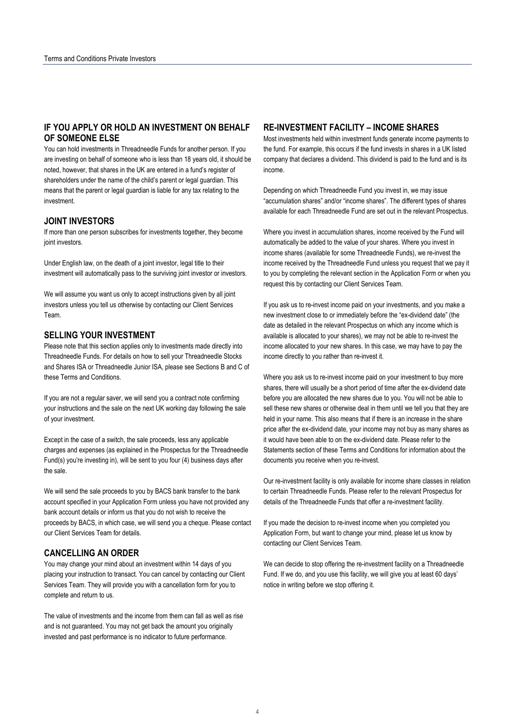## **IF YOU APPLY OR HOLD AN INVESTMENT ON BEHALF OF SOMEONE ELSE**

You can hold investments in Threadneedle Funds for another person. If you are investing on behalf of someone who is less than 18 years old, it should be noted, however, that shares in the UK are entered in a fund's register of shareholders under the name of the child's parent or legal guardian. This means that the parent or legal guardian is liable for any tax relating to the investment.

## **JOINT INVESTORS**

If more than one person subscribes for investments together, they become joint investors.

Under English law, on the death of a joint investor, legal title to their investment will automatically pass to the surviving joint investor or investors.

We will assume you want us only to accept instructions given by all joint investors unless you tell us otherwise by contacting our Client Services Team.

## **SELLING YOUR INVESTMENT**

Please note that this section applies only to investments made directly into Threadneedle Funds. For details on how to sell your Threadneedle Stocks and Shares ISA or Threadneedle Junior ISA, please see Sections B and C of these Terms and Conditions.

If you are not a regular saver, we will send you a contract note confirming your instructions and the sale on the next UK working day following the sale of your investment.

Except in the case of a switch, the sale proceeds, less any applicable charges and expenses (as explained in the Prospectus for the Threadneedle Fund(s) you're investing in), will be sent to you four (4) business days after the sale.

We will send the sale proceeds to you by BACS bank transfer to the bank account specified in your Application Form unless you have not provided any bank account details or inform us that you do not wish to receive the proceeds by BACS, in which case, we will send you a cheque. Please contact our Client Services Team for details.

## **CANCELLING AN ORDER**

You may change your mind about an investment within 14 days of you placing your instruction to transact. You can cancel by contacting our Client Services Team. They will provide you with a cancellation form for you to complete and return to us.

The value of investments and the income from them can fall as well as rise and is not guaranteed. You may not get back the amount you originally invested and past performance is no indicator to future performance.

## **RE-INVESTMENT FACILITY – INCOME SHARES**

Most investments held within investment funds generate income payments to the fund. For example, this occurs if the fund invests in shares in a UK listed company that declares a dividend. This dividend is paid to the fund and is its income.

Depending on which Threadneedle Fund you invest in, we may issue "accumulation shares" and/or "income shares". The different types of shares available for each Threadneedle Fund are set out in the relevant Prospectus.

Where you invest in accumulation shares, income received by the Fund will automatically be added to the value of your shares. Where you invest in income shares (available for some Threadneedle Funds), we re-invest the income received by the Threadneedle Fund unless you request that we pay it to you by completing the relevant section in the Application Form or when you request this by contacting our Client Services Team.

If you ask us to re-invest income paid on your investments, and you make a new investment close to or immediately before the "ex-dividend date" (the date as detailed in the relevant Prospectus on which any income which is available is allocated to your shares), we may not be able to re-invest the income allocated to your new shares. In this case, we may have to pay the income directly to you rather than re-invest it.

Where you ask us to re-invest income paid on your investment to buy more shares, there will usually be a short period of time after the ex-dividend date before you are allocated the new shares due to you. You will not be able to sell these new shares or otherwise deal in them until we tell you that they are held in your name. This also means that if there is an increase in the share price after the ex-dividend date, your income may not buy as many shares as it would have been able to on the ex-dividend date. Please refer to the Statements section of these Terms and Conditions for information about the documents you receive when you re-invest.

Our re-investment facility is only available for income share classes in relation to certain Threadneedle Funds. Please refer to the relevant Prospectus for details of the Threadneedle Funds that offer a re-investment facility.

If you made the decision to re-invest income when you completed you Application Form, but want to change your mind, please let us know by contacting our Client Services Team.

We can decide to stop offering the re-investment facility on a Threadneedle Fund. If we do, and you use this facility, we will give you at least 60 days' notice in writing before we stop offering it.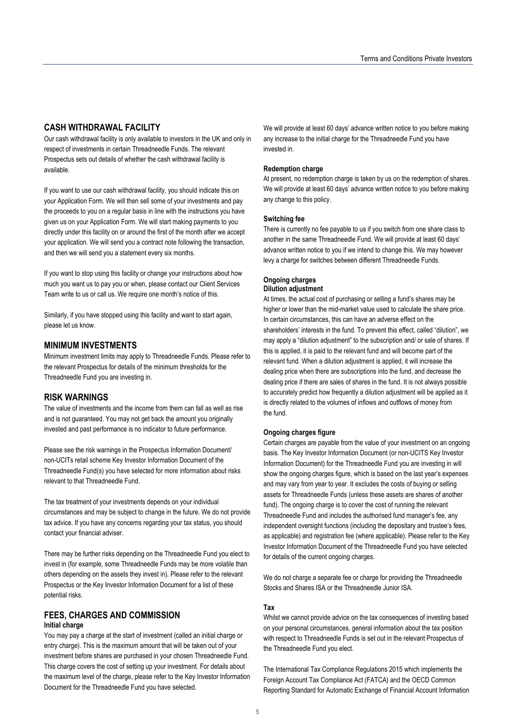## **CASH WITHDRAWAL FACILITY**

Our cash withdrawal facility is only available to investors in the UK and only in respect of investments in certain Threadneedle Funds. The relevant Prospectus sets out details of whether the cash withdrawal facility is available.

If you want to use our cash withdrawal facility, you should indicate this on your Application Form. We will then sell some of your investments and pay the proceeds to you on a regular basis in line with the instructions you have given us on your Application Form. We will start making payments to you directly under this facility on or around the first of the month after we accept your application. We will send you a contract note following the transaction, and then we will send you a statement every six months.

If you want to stop using this facility or change your instructions about how much you want us to pay you or when, please contact our Client Services Team write to us or call us. We require one month's notice of this.

Similarly, if you have stopped using this facility and want to start again, please let us know.

## **MINIMUM INVESTMENTS**

Minimum investment limits may apply to Threadneedle Funds. Please refer to the relevant Prospectus for details of the minimum thresholds for the Threadneedle Fund you are investing in.

## **RISK WARNINGS**

The value of investments and the income from them can fall as well as rise and is not guaranteed. You may not get back the amount you originally invested and past performance is no indicator to future performance.

Please see the risk warnings in the Prospectus Information Document/ non-UCITs retail scheme Key Investor Information Document of the Threadneedle Fund(s) you have selected for more information about risks relevant to that Threadneedle Fund.

The tax treatment of your investments depends on your individual circumstances and may be subject to change in the future. We do not provide tax advice. If you have any concerns regarding your tax status, you should contact your financial adviser.

There may be further risks depending on the Threadneedle Fund you elect to invest in (for example, some Threadneedle Funds may be more volatile than others depending on the assets they invest in). Please refer to the relevant Prospectus or the Key Investor Information Document for a list of these potential risks.

## **FEES, CHARGES AND COMMISSION**

#### **Initial charge**

You may pay a charge at the start of investment (called an initial charge or entry charge). This is the maximum amount that will be taken out of your investment before shares are purchased in your chosen Threadneedle Fund. This charge covers the cost of setting up your investment. For details about the maximum level of the charge, please refer to the Key Investor Information Document for the Threadneedle Fund you have selected.

We will provide at least 60 days' advance written notice to you before making any increase to the initial charge for the Threadneedle Fund you have invested in.

#### **Redemption charge**

At present, no redemption charge is taken by us on the redemption of shares. We will provide at least 60 days' advance written notice to you before making any change to this policy.

#### **Switching fee**

There is currently no fee payable to us if you switch from one share class to another in the same Threadneedle Fund. We will provide at least 60 days' advance written notice to you if we intend to change this. We may however levy a charge for switches between different Threadneedle Funds.

#### **Ongoing charges Dilution adjustment**

At times, the actual cost of purchasing or selling a fund's shares may be higher or lower than the mid-market value used to calculate the share price. In certain circumstances, this can have an adverse effect on the shareholders' interests in the fund. To prevent this effect, called "dilution", we may apply a "dilution adjustment" to the subscription and/ or sale of shares. If this is applied, it is paid to the relevant fund and will become part of the relevant fund. When a dilution adjustment is applied, it will increase the dealing price when there are subscriptions into the fund, and decrease the dealing price if there are sales of shares in the fund. It is not always possible to accurately predict how frequently a dilution adjustment will be applied as it is directly related to the volumes of inflows and outflows of money from the fund.

#### **Ongoing charges figure**

Certain charges are payable from the value of your investment on an ongoing basis. The Key Investor Information Document (or non-UCITS Key Investor Information Document) for the Threadneedle Fund you are investing in will show the ongoing charges figure, which is based on the last year's expenses and may vary from year to year. It excludes the costs of buying or selling assets for Threadneedle Funds (unless these assets are shares of another fund). The ongoing charge is to cover the cost of running the relevant Threadneedle Fund and includes the authorised fund manager's fee, any independent oversight functions (including the depositary and trustee's fees, as applicable) and registration fee (where applicable). Please refer to the Key Investor Information Document of the Threadneedle Fund you have selected for details of the current ongoing charges.

We do not charge a separate fee or charge for providing the Threadneedle Stocks and Shares ISA or the Threadneedle Junior ISA.

#### **Tax**

Whilst we cannot provide advice on the tax consequences of investing based on your personal circumstances, general information about the tax position with respect to Threadneedle Funds is set out in the relevant Prospectus of the Threadneedle Fund you elect.

The International Tax Compliance Regulations 2015 which implements the Foreign Account Tax Compliance Act (FATCA) and the OECD Common Reporting Standard for Automatic Exchange of Financial Account Information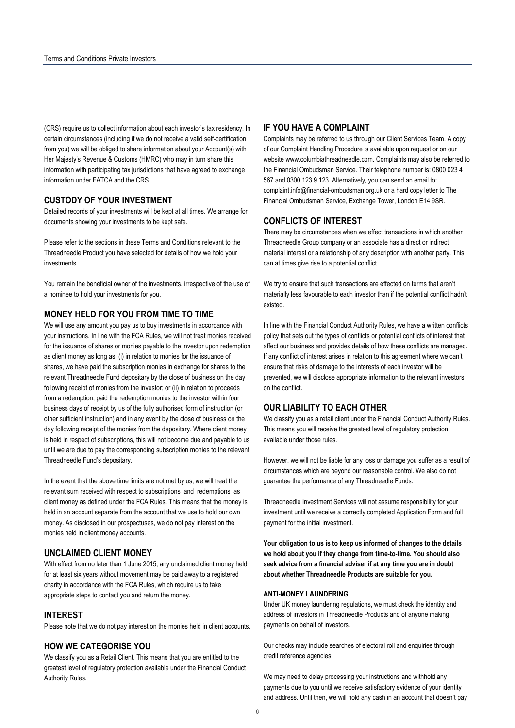(CRS) require us to collect information about each investor's tax residency. In certain circumstances (including if we do not receive a valid self-certification from you) we will be obliged to share information about your Account(s) with Her Majesty's Revenue & Customs (HMRC) who may in turn share this information with participating tax jurisdictions that have agreed to exchange information under FATCA and the CRS.

## **CUSTODY OF YOUR INVESTMENT**

Detailed records of your investments will be kept at all times. We arrange for documents showing your investments to be kept safe.

Please refer to the sections in these Terms and Conditions relevant to the Threadneedle Product you have selected for details of how we hold your investments.

You remain the beneficial owner of the investments, irrespective of the use of a nominee to hold your investments for you.

#### **MONEY HELD FOR YOU FROM TIME TO TIME**

We will use any amount you pay us to buy investments in accordance with your instructions. In line with the FCA Rules, we will not treat monies received for the issuance of shares or monies payable to the investor upon redemption as client money as long as: (i) in relation to monies for the issuance of shares, we have paid the subscription monies in exchange for shares to the relevant Threadneedle Fund depositary by the close of business on the day following receipt of monies from the investor; or (ii) in relation to proceeds from a redemption, paid the redemption monies to the investor within four business days of receipt by us of the fully authorised form of instruction (or other sufficient instruction) and in any event by the close of business on the day following receipt of the monies from the depositary. Where client money is held in respect of subscriptions, this will not become due and payable to us until we are due to pay the corresponding subscription monies to the relevant Threadneedle Fund's depositary.

In the event that the above time limits are not met by us, we will treat the relevant sum received with respect to subscriptions and redemptions as client money as defined under the FCA Rules. This means that the money is held in an account separate from the account that we use to hold our own money. As disclosed in our prospectuses, we do not pay interest on the monies held in client money accounts.

## **UNCLAIMED CLIENT MONEY**

With effect from no later than 1 June 2015, any unclaimed client money held for at least six years without movement may be paid away to a registered charity in accordance with the FCA Rules, which require us to take appropriate steps to contact you and return the money.

### **INTEREST**

Please note that we do not pay interest on the monies held in client accounts.

## **HOW WE CATEGORISE YOU**

We classify you as a Retail Client. This means that you are entitled to the greatest level of regulatory protection available under the Financial Conduct Authority Rules.

## **IF YOU HAVE A COMPLAINT**

Complaints may be referred to us through our Client Services Team. A copy of our Complaint Handling Procedure is available upon request or on our website www.columbiathreadneedle.com. Complaints may also be referred to the Financial Ombudsman Service. Their telephone number is: 0800 023 4 567 and 0300 123 9 123. Alternatively, you can send an email to: complaint.info@financial-ombudsman.org.uk or a hard copy letter to The Financial Ombudsman Service, Exchange Tower, London E14 9SR.

#### **CONFLICTS OF INTEREST**

There may be circumstances when we effect transactions in which another Threadneedle Group company or an associate has a direct or indirect material interest or a relationship of any description with another party. This can at times give rise to a potential conflict.

We try to ensure that such transactions are effected on terms that aren't materially less favourable to each investor than if the potential conflict hadn't existed.

In line with the Financial Conduct Authority Rules, we have a written conflicts policy that sets out the types of conflicts or potential conflicts of interest that affect our business and provides details of how these conflicts are managed. If any conflict of interest arises in relation to this agreement where we can't ensure that risks of damage to the interests of each investor will be prevented, we will disclose appropriate information to the relevant investors on the conflict.

### **OUR LIABILITY TO EACH OTHER**

We classify you as a retail client under the Financial Conduct Authority Rules. This means you will receive the greatest level of regulatory protection available under those rules.

However, we will not be liable for any loss or damage you suffer as a result of circumstances which are beyond our reasonable control. We also do not guarantee the performance of any Threadneedle Funds.

Threadneedle Investment Services will not assume responsibility for your investment until we receive a correctly completed Application Form and full payment for the initial investment.

**Your obligation to us is to keep us informed of changes to the details we hold about you if they change from time-to-time. You should also seek advice from a financial adviser if at any time you are in doubt about whether Threadneedle Products are suitable for you.** 

#### **ANTI-MONEY LAUNDERING**

Under UK money laundering regulations, we must check the identity and address of investors in Threadneedle Products and of anyone making payments on behalf of investors.

Our checks may include searches of electoral roll and enquiries through credit reference agencies.

We may need to delay processing your instructions and withhold any payments due to you until we receive satisfactory evidence of your identity and address. Until then, we will hold any cash in an account that doesn't pay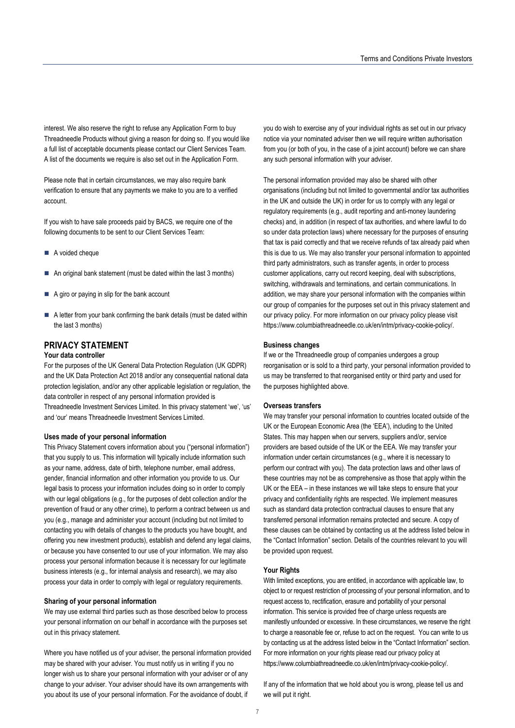interest. We also reserve the right to refuse any Application Form to buy Threadneedle Products without giving a reason for doing so. If you would like a full list of acceptable documents please contact our Client Services Team. A list of the documents we require is also set out in the Application Form.

Please note that in certain circumstances, we may also require bank verification to ensure that any payments we make to you are to a verified account.

If you wish to have sale proceeds paid by BACS, we require one of the following documents to be sent to our Client Services Team:

- A voided cheque
- An original bank statement (must be dated within the last 3 months)
- $\blacksquare$  A giro or paying in slip for the bank account
- A letter from your bank confirming the bank details (must be dated within the last 3 months)

## **PRIVACY STATEMENT**

## **Your data controller**

For the purposes of the UK General Data Protection Regulation (UK GDPR) and the UK Data Protection Act 2018 and/or any consequential national data protection legislation, and/or any other applicable legislation or regulation, the data controller in respect of any personal information provided is Threadneedle Investment Services Limited. In this privacy statement 'we', 'us' and 'our' means Threadneedle Investment Services Limited.

#### **Uses made of your personal information**

This Privacy Statement covers information about you ("personal information") that you supply to us. This information will typically include information such as your name, address, date of birth, telephone number, email address, gender, financial information and other information you provide to us. Our legal basis to process your information includes doing so in order to comply with our legal obligations (e.g., for the purposes of debt collection and/or the prevention of fraud or any other crime), to perform a contract between us and you (e.g., manage and administer your account (including but not limited to contacting you with details of changes to the products you have bought, and offering you new investment products), establish and defend any legal claims, or because you have consented to our use of your information. We may also process your personal information because it is necessary for our legitimate business interests (e.g., for internal analysis and research), we may also process your data in order to comply with legal or regulatory requirements.

#### **Sharing of your personal information**

We may use external third parties such as those described below to process your personal information on our behalf in accordance with the purposes set out in this privacy statement.

Where you have notified us of your adviser, the personal information provided may be shared with your adviser. You must notify us in writing if you no longer wish us to share your personal information with your adviser or of any change to your adviser. Your adviser should have its own arrangements with you about its use of your personal information. For the avoidance of doubt, if

you do wish to exercise any of your individual rights as set out in our privacy notice via your nominated adviser then we will require written authorisation from you (or both of you, in the case of a joint account) before we can share any such personal information with your adviser.

The personal information provided may also be shared with other organisations (including but not limited to governmental and/or tax authorities in the UK and outside the UK) in order for us to comply with any legal or regulatory requirements (e.g., audit reporting and anti-money laundering checks) and, in addition (in respect of tax authorities, and where lawful to do so under data protection laws) where necessary for the purposes of ensuring that tax is paid correctly and that we receive refunds of tax already paid when this is due to us. We may also transfer your personal information to appointed third party administrators, such as transfer agents, in order to process customer applications, carry out record keeping, deal with subscriptions, switching, withdrawals and terminations, and certain communications. In addition, we may share your personal information with the companies within our group of companies for the purposes set out in this privacy statement and our privacy policy. For more information on our privacy policy please visit https://www.columbiathreadneedle.co.uk/en/intm/privacy-cookie-policy/.

#### **Business changes**

If we or the Threadneedle group of companies undergoes a group reorganisation or is sold to a third party, your personal information provided to us may be transferred to that reorganised entity or third party and used for the purposes highlighted above.

#### **Overseas transfers**

We may transfer your personal information to countries located outside of the UK or the European Economic Area (the 'EEA'), including to the United States. This may happen when our servers, suppliers and/or, service providers are based outside of the UK or the EEA. We may transfer your information under certain circumstances (e.g., where it is necessary to perform our contract with you). The data protection laws and other laws of these countries may not be as comprehensive as those that apply within the UK or the EEA – in these instances we will take steps to ensure that your privacy and confidentiality rights are respected. We implement measures such as standard data protection contractual clauses to ensure that any transferred personal information remains protected and secure. A copy of these clauses can be obtained by contacting us at the address listed below in the "Contact Information" section. Details of the countries relevant to you will be provided upon request.

#### **Your Rights**

With limited exceptions, you are entitled, in accordance with applicable law, to object to or request restriction of processing of your personal information, and to request access to, rectification, erasure and portability of your personal information. This service is provided free of charge unless requests are manifestly unfounded or excessive. In these circumstances, we reserve the right to charge a reasonable fee or, refuse to act on the request. You can write to us by contacting us at the address listed below in the "Contact Information" section. For more information on your rights please read our privacy policy at https://www.columbiathreadneedle.co.uk/en/intm/privacy-cookie-policy/.

If any of the information that we hold about you is wrong, please tell us and we will put it right.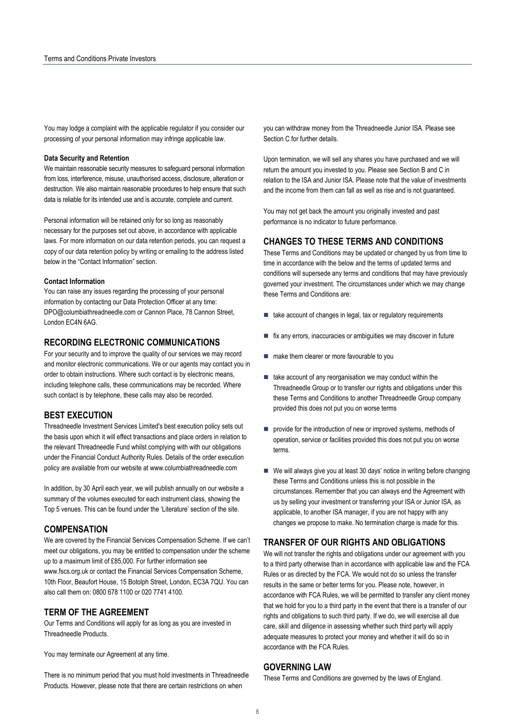You may lodge a complaint with the applicable regulator if you consider our processing of your personal information may infringe applicable law.

#### **Data Security and Retention**

We maintain reasonable security measures to safeguard personal information from loss, interference, misuse, unauthorised access, disclosure, alteration or destruction. We also maintain reasonable procedures to help ensure that such data is reliable for its intended use and is accurate, complete and current.

Personal information will be retained only for so long as reasonably necessary for the purposes set out above, in accordance with applicable laws. For more information on our data retention periods, you can request a copy of our data retention policy by writing or emailing to the address listed below in the "Contact Information" section.

#### **Contact Information**

You can raise any issues regarding the processing of your personal information by contacting our Data Protection Officer at any time: DPO@columbiathreadneedle.com or Cannon Place, 78 Cannon Street, London EC4N 6AG.

### **RECORDING ELECTRONIC COMMUNICATIONS**

For your security and to improve the quality of our services we may record and monitor electronic communications. We or our agents may contact you in order to obtain instructions. Where such contact is by electronic means, including telephone calls, these communications may be recorded. Where such contact is by telephone, these calls may also be recorded.

## **BEST EXECUTION**

Threadneedle Investment Services Limited's best execution policy sets out the basis upon which it will effect transactions and place orders in relation to the relevant Threadneedle Fund whilst complying with with our obligations under the Financial Conduct Authority Rules. Details of the order execution policy are available from our website at www.columbiathreadneedle.com

In addition, by 30 April each year, we will publish annually on our website a summary of the volumes executed for each instrument class, showing the Top 5 venues. This can be found under the 'Literature' section of the site.

## **COMPENSATION**

We are covered by the Financial Services Compensation Scheme. If we can't meet our obligations, you may be entitled to compensation under the scheme up to a maximum limit of £85,000. For further information see www.fscs.org.uk or contact the Financial Services Compensation Scheme, 10th Floor, Beaufort House, 15 Botolph Street, London, EC3A 7QU. You can also call them on: 0800 678 1100 or 020 7741 4100.

## **TERM OF THE AGREEMENT**

Our Terms and Conditions will apply for as long as you are invested in Threadneedle Products.

You may terminate our Agreement at any time.

There is no minimum period that you must hold investments in Threadneedle Products. However, please note that there are certain restrictions on when

you can withdraw money from the Threadneedle Junior ISA. Please see Section C for further details.

Upon termination, we will sell any shares you have purchased and we will return the amount you invested to you. Please see Section B and C in relation to the ISA and Junior ISA. Please note that the value of investments and the income from them can fall as well as rise and is not guaranteed.

You may not get back the amount you originally invested and past performance is no indicator to future performance.

## **CHANGES TO THESE TERMS AND CONDITIONS**

These Terms and Conditions may be updated or changed by us from time to time in accordance with the below and the terms of updated terms and conditions will supersede any terms and conditions that may have previously governed your investment. The circumstances under which we may change these Terms and Conditions are:

- $\blacksquare$  take account of changes in legal, tax or regulatory requirements
- fix any errors, inaccuracies or ambiguities we may discover in future
- make them clearer or more favourable to you
- $\blacksquare$  take account of any reorganisation we may conduct within the Threadneedle Group or to transfer our rights and obligations under this these Terms and Conditions to another Threadneedle Group company provided this does not put you on worse terms
- **provide for the introduction of new or improved systems, methods of** operation, service or facilities provided this does not put you on worse terms.
- We will always give you at least 30 days' notice in writing before changing these Terms and Conditions unless this is not possible in the circumstances. Remember that you can always end the Agreement with us by selling your investment or transferring your ISA or Junior ISA, as applicable, to another ISA manager, if you are not happy with any changes we propose to make. No termination charge is made for this.

## **TRANSFER OF OUR RIGHTS AND OBLIGATIONS**

We will not transfer the rights and obligations under our agreement with you to a third party otherwise than in accordance with applicable law and the FCA Rules or as directed by the FCA. We would not do so unless the transfer results in the same or better terms for you. Please note, however, in accordance with FCA Rules, we will be permitted to transfer any client money that we hold for you to a third party in the event that there is a transfer of our rights and obligations to such third party. If we do, we will exercise all due care, skill and diligence in assessing whether such third party will apply adequate measures to protect your money and whether it will do so in accordance with the FCA Rules.

## **GOVERNING LAW**

These Terms and Conditions are governed by the laws of England.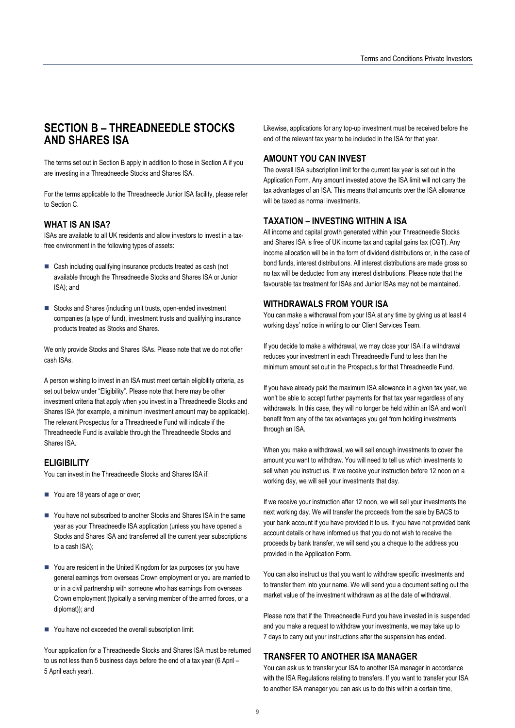## **SECTION B – THREADNEEDLE STOCKS AND SHARES ISA**

The terms set out in Section B apply in addition to those in Section A if you are investing in a Threadneedle Stocks and Shares ISA.

For the terms applicable to the Threadneedle Junior ISA facility, please refer to Section C.

## **WHAT IS AN ISA?**

ISAs are available to all UK residents and allow investors to invest in a taxfree environment in the following types of assets:

- Cash including qualifying insurance products treated as cash (not available through the Threadneedle Stocks and Shares ISA or Junior ISA); and
- Stocks and Shares (including unit trusts, open-ended investment companies (a type of fund), investment trusts and qualifying insurance products treated as Stocks and Shares.

We only provide Stocks and Shares ISAs. Please note that we do not offer cash ISAs.

A person wishing to invest in an ISA must meet certain eligibility criteria, as set out below under "Eligibility". Please note that there may be other investment criteria that apply when you invest in a Threadneedle Stocks and Shares ISA (for example, a minimum investment amount may be applicable). The relevant Prospectus for a Threadneedle Fund will indicate if the Threadneedle Fund is available through the Threadneedle Stocks and Shares ISA.

## **ELIGIBILITY**

You can invest in the Threadneedle Stocks and Shares ISA if:

- You are 18 years of age or over;
- You have not subscribed to another Stocks and Shares ISA in the same year as your Threadneedle ISA application (unless you have opened a Stocks and Shares ISA and transferred all the current year subscriptions to a cash ISA);
- You are resident in the United Kingdom for tax purposes (or you have general earnings from overseas Crown employment or you are married to or in a civil partnership with someone who has earnings from overseas Crown employment (typically a serving member of the armed forces, or a diplomat)); and
- You have not exceeded the overall subscription limit.

Your application for a Threadneedle Stocks and Shares ISA must be returned to us not less than 5 business days before the end of a tax year (6 April – 5 April each year).

Likewise, applications for any top-up investment must be received before the end of the relevant tax year to be included in the ISA for that year.

## **AMOUNT YOU CAN INVEST**

The overall ISA subscription limit for the current tax year is set out in the Application Form. Any amount invested above the ISA limit will not carry the tax advantages of an ISA. This means that amounts over the ISA allowance will be taxed as normal investments.

### **TAXATION – INVESTING WITHIN A ISA**

All income and capital growth generated within your Threadneedle Stocks and Shares ISA is free of UK income tax and capital gains tax (CGT). Any income allocation will be in the form of dividend distributions or, in the case of bond funds, interest distributions. All interest distributions are made gross so no tax will be deducted from any interest distributions. Please note that the favourable tax treatment for ISAs and Junior ISAs may not be maintained.

#### **WITHDRAWALS FROM YOUR ISA**

You can make a withdrawal from your ISA at any time by giving us at least 4 working days' notice in writing to our Client Services Team.

If you decide to make a withdrawal, we may close your ISA if a withdrawal reduces your investment in each Threadneedle Fund to less than the minimum amount set out in the Prospectus for that Threadneedle Fund.

If you have already paid the maximum ISA allowance in a given tax year, we won't be able to accept further payments for that tax year regardless of any withdrawals. In this case, they will no longer be held within an ISA and won't benefit from any of the tax advantages you get from holding investments through an ISA.

When you make a withdrawal, we will sell enough investments to cover the amount you want to withdraw. You will need to tell us which investments to sell when you instruct us. If we receive your instruction before 12 noon on a working day, we will sell your investments that day.

If we receive your instruction after 12 noon, we will sell your investments the next working day. We will transfer the proceeds from the sale by BACS to your bank account if you have provided it to us. If you have not provided bank account details or have informed us that you do not wish to receive the proceeds by bank transfer, we will send you a cheque to the address you provided in the Application Form.

You can also instruct us that you want to withdraw specific investments and to transfer them into your name. We will send you a document setting out the market value of the investment withdrawn as at the date of withdrawal.

Please note that if the Threadneedle Fund you have invested in is suspended and you make a request to withdraw your investments, we may take up to 7 days to carry out your instructions after the suspension has ended.

## **TRANSFER TO ANOTHER ISA MANAGER**

You can ask us to transfer your ISA to another ISA manager in accordance with the ISA Regulations relating to transfers. If you want to transfer your ISA to another ISA manager you can ask us to do this within a certain time,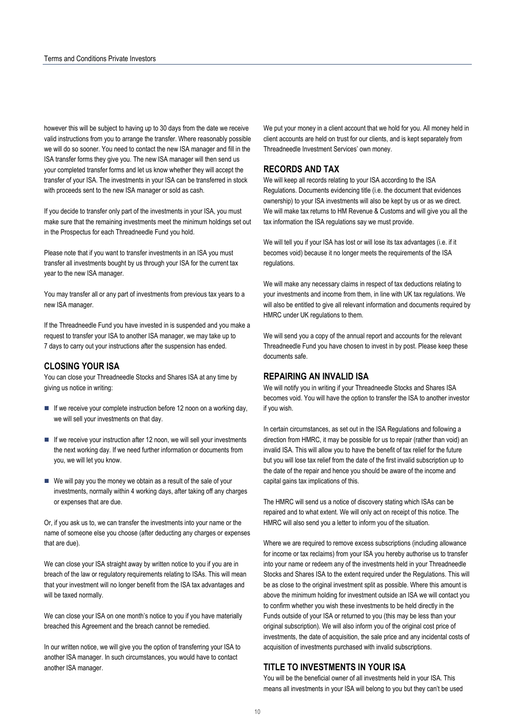however this will be subject to having up to 30 days from the date we receive valid instructions from you to arrange the transfer. Where reasonably possible we will do so sooner. You need to contact the new ISA manager and fill in the ISA transfer forms they give you. The new ISA manager will then send us your completed transfer forms and let us know whether they will accept the transfer of your ISA. The investments in your ISA can be transferred in stock with proceeds sent to the new ISA manager or sold as cash.

If you decide to transfer only part of the investments in your ISA, you must make sure that the remaining investments meet the minimum holdings set out in the Prospectus for each Threadneedle Fund you hold.

Please note that if you want to transfer investments in an ISA you must transfer all investments bought by us through your ISA for the current tax year to the new ISA manager.

You may transfer all or any part of investments from previous tax years to a new ISA manager.

If the Threadneedle Fund you have invested in is suspended and you make a request to transfer your ISA to another ISA manager, we may take up to 7 days to carry out your instructions after the suspension has ended.

## **CLOSING YOUR ISA**

You can close your Threadneedle Stocks and Shares ISA at any time by giving us notice in writing:

- $\blacksquare$  If we receive your complete instruction before 12 noon on a working day, we will sell your investments on that day.
- If we receive your instruction after 12 noon, we will sell your investments the next working day. If we need further information or documents from you, we will let you know.
- $\blacksquare$  We will pay you the money we obtain as a result of the sale of your investments, normally within 4 working days, after taking off any charges or expenses that are due.

Or, if you ask us to, we can transfer the investments into your name or the name of someone else you choose (after deducting any charges or expenses that are due).

We can close your ISA straight away by written notice to you if you are in breach of the law or regulatory requirements relating to ISAs. This will mean that your investment will no longer benefit from the ISA tax advantages and will be taxed normally.

We can close your ISA on one month's notice to you if you have materially breached this Agreement and the breach cannot be remedied.

In our written notice, we will give you the option of transferring your ISA to another ISA manager. In such circumstances, you would have to contact another ISA manager.

We put your money in a client account that we hold for you. All money held in client accounts are held on trust for our clients, and is kept separately from Threadneedle Investment Services' own money.

## **RECORDS AND TAX**

We will keep all records relating to your ISA according to the ISA Regulations. Documents evidencing title (i.e. the document that evidences ownership) to your ISA investments will also be kept by us or as we direct. We will make tax returns to HM Revenue & Customs and will give you all the tax information the ISA regulations say we must provide.

We will tell you if your ISA has lost or will lose its tax advantages (i.e. if it becomes void) because it no longer meets the requirements of the ISA regulations.

We will make any necessary claims in respect of tax deductions relating to your investments and income from them, in line with UK tax regulations. We will also be entitled to give all relevant information and documents required by HMRC under UK regulations to them.

We will send you a copy of the annual report and accounts for the relevant Threadneedle Fund you have chosen to invest in by post. Please keep these documents safe.

## **REPAIRING AN INVALID ISA**

We will notify you in writing if your Threadneedle Stocks and Shares ISA becomes void. You will have the option to transfer the ISA to another investor if you wish.

In certain circumstances, as set out in the ISA Regulations and following a direction from HMRC, it may be possible for us to repair (rather than void) an invalid ISA. This will allow you to have the benefit of tax relief for the future but you will lose tax relief from the date of the first invalid subscription up to the date of the repair and hence you should be aware of the income and capital gains tax implications of this.

The HMRC will send us a notice of discovery stating which ISAs can be repaired and to what extent. We will only act on receipt of this notice. The HMRC will also send you a letter to inform you of the situation.

Where we are required to remove excess subscriptions (including allowance for income or tax reclaims) from your ISA you hereby authorise us to transfer into your name or redeem any of the investments held in your Threadneedle Stocks and Shares ISA to the extent required under the Regulations. This will be as close to the original investment split as possible. Where this amount is above the minimum holding for investment outside an ISA we will contact you to confirm whether you wish these investments to be held directly in the Funds outside of your ISA or returned to you (this may be less than your original subscription). We will also inform you of the original cost price of investments, the date of acquisition, the sale price and any incidental costs of acquisition of investments purchased with invalid subscriptions.

## **TITLE TO INVESTMENTS IN YOUR ISA**

You will be the beneficial owner of all investments held in your ISA. This means all investments in your ISA will belong to you but they can't be used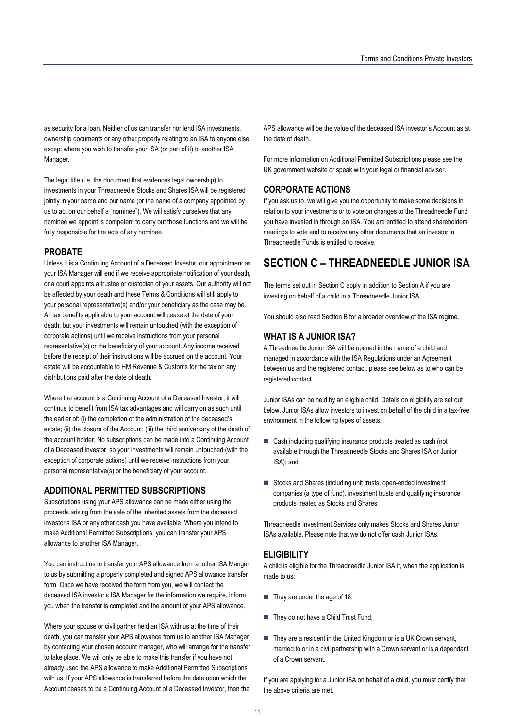as security for a loan. Neither of us can transfer nor lend ISA investments, ownership documents or any other property relating to an ISA to anyone else except where you wish to transfer your ISA (or part of it) to another ISA Manager.

The legal title (i.e. the document that evidences legal ownership) to investments in your Threadneedle Stocks and Shares ISA will be registered jointly in your name and our name (or the name of a company appointed by us to act on our behalf a "nominee"). We will satisfy ourselves that any nominee we appoint is competent to carry out those functions and we will be fully responsible for the acts of any nominee.

## **PROBATE**

Unless it is a Continuing Account of a Deceased Investor, our appointment as your ISA Manager will end if we receive appropriate notification of your death, or a court appoints a trustee or custodian of your assets. Our authority will not be affected by your death and these Terms & Conditions will still apply to your personal representative(s) and/or your beneficiary as the case may be. All tax benefits applicable to your account will cease at the date of your death, but your investments will remain untouched (with the exception of corporate actions) until we receive instructions from your personal representative(s) or the beneficiary of your account. Any income received before the receipt of their instructions will be accrued on the account. Your estate will be accountable to HM Revenue & Customs for the tax on any distributions paid after the date of death.

Where the account is a Continuing Account of a Deceased Investor, it will continue to benefit from ISA tax advantages and will carry on as such until the earlier of: (i) the completion of the administration of the deceased's estate; (ii) the closure of the Account; (iii) the third anniversary of the death of the account holder. No subscriptions can be made into a Continuing Account of a Deceased Investor, so your Investments will remain untouched (with the exception of corporate actions) until we receive instructions from your personal representative(s) or the beneficiary of your account.

## **ADDITIONAL PERMITTED SUBSCRIPTIONS**

Subscriptions using your APS allowance can be made either using the proceeds arising from the sale of the inherited assets from the deceased investor's ISA or any other cash you have available. Where you intend to make Additional Permitted Subscriptions, you can transfer your APS allowance to another ISA Manager.

You can instruct us to transfer your APS allowance from another ISA Manger to us by submitting a properly completed and signed APS allowance transfer form. Once we have received the form from you, we will contact the deceased ISA investor's ISA Manager for the information we require, inform you when the transfer is completed and the amount of your APS allowance.

Where your spouse or civil partner held an ISA with us at the time of their death, you can transfer your APS allowance from us to another ISA Manager by contacting your chosen account manager, who will arrange for the transfer to take place. We will only be able to make this transfer if you have not already used the APS allowance to make Additional Permitted Subscriptions with us. If your APS allowance is transferred before the date upon which the Account ceases to be a Continuing Account of a Deceased Investor, then the APS allowance will be the value of the deceased ISA investor's Account as at the date of death.

For more information on Additional Permitted Subscriptions please see the UK government website or speak with your legal or financial adviser.

## **CORPORATE ACTIONS**

If you ask us to, we will give you the opportunity to make some decisions in relation to your investments or to vote on changes to the Threadneedle Fund you have invested in through an ISA. You are entitled to attend shareholders meetings to vote and to receive any other documents that an investor in Threadneedle Funds is entitled to receive.

## **SECTION C – THREADNEEDLE JUNIOR ISA**

The terms set out in Section C apply in addition to Section A if you are investing on behalf of a child in a Threadneedle Junior ISA.

You should also read Section B for a broader overview of the ISA regime.

## **WHAT IS A JUNIOR ISA?**

A Threadneedle Junior ISA will be opened in the name of a child and managed in accordance with the ISA Regulations under an Agreement between us and the registered contact, please see below as to who can be registered contact.

Junior ISAs can be held by an eligible child. Details on eligibility are set out below. Junior ISAs allow investors to invest on behalf of the child in a tax-free environment in the following types of assets:

- Cash including qualifying insurance products treated as cash (not available through the Threadneedle Stocks and Shares ISA or Junior ISA); and
- Stocks and Shares (including unit trusts, open-ended investment companies (a type of fund), investment trusts and qualifying insurance products treated as Stocks and Shares.

Threadneedle Investment Services only makes Stocks and Shares Junior ISAs available. Please note that we do not offer cash Junior ISAs.

## **ELIGIBILITY**

A child is eligible for the Threadneedle Junior ISA if, when the application is made to us:

- $\blacksquare$  They are under the age of 18;
- They do not have a Child Trust Fund;
- They are a resident in the United Kingdom or is a UK Crown servant, married to or in a civil partnership with a Crown servant or is a dependant of a Crown servant.

If you are applying for a Junior ISA on behalf of a child, you must certify that the above criteria are met.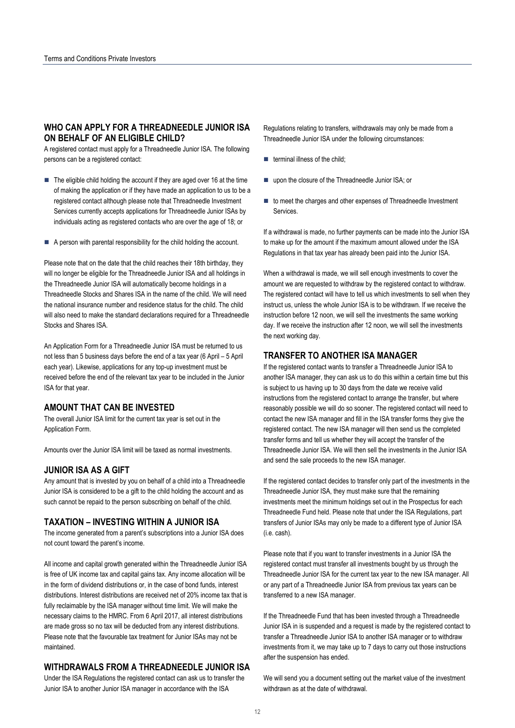## **WHO CAN APPLY FOR A THREADNEEDLE JUNIOR ISA ON BEHALF OF AN ELIGIBLE CHILD?**

A registered contact must apply for a Threadneedle Junior ISA. The following persons can be a registered contact:

- $\blacksquare$  The eligible child holding the account if they are aged over 16 at the time of making the application or if they have made an application to us to be a registered contact although please note that Threadneedle Investment Services currently accepts applications for Threadneedle Junior ISAs by individuals acting as registered contacts who are over the age of 18; or
- $\blacksquare$  A person with parental responsibility for the child holding the account.

Please note that on the date that the child reaches their 18th birthday, they will no longer be eligible for the Threadneedle Junior ISA and all holdings in the Threadneedle Junior ISA will automatically become holdings in a Threadneedle Stocks and Shares ISA in the name of the child. We will need the national insurance number and residence status for the child. The child will also need to make the standard declarations required for a Threadneedle Stocks and Shares ISA.

An Application Form for a Threadneedle Junior ISA must be returned to us not less than 5 business days before the end of a tax year (6 April – 5 April each year). Likewise, applications for any top-up investment must be received before the end of the relevant tax year to be included in the Junior ISA for that year.

#### **AMOUNT THAT CAN BE INVESTED**

The overall Junior ISA limit for the current tax year is set out in the Application Form.

Amounts over the Junior ISA limit will be taxed as normal investments.

#### **JUNIOR ISA AS A GIFT**

Any amount that is invested by you on behalf of a child into a Threadneedle Junior ISA is considered to be a gift to the child holding the account and as such cannot be repaid to the person subscribing on behalf of the child.

#### **TAXATION – INVESTING WITHIN A JUNIOR ISA**

The income generated from a parent's subscriptions into a Junior ISA does not count toward the parent's income.

All income and capital growth generated within the Threadneedle Junior ISA is free of UK income tax and capital gains tax. Any income allocation will be in the form of dividend distributions or, in the case of bond funds, interest distributions. Interest distributions are received net of 20% income tax that is fully reclaimable by the ISA manager without time limit. We will make the necessary claims to the HMRC. From 6 April 2017, all interest distributions are made gross so no tax will be deducted from any interest distributions. Please note that the favourable tax treatment for Junior ISAs may not be maintained.

### **WITHDRAWALS FROM A THREADNEEDLE JUNIOR ISA**

Under the ISA Regulations the registered contact can ask us to transfer the Junior ISA to another Junior ISA manager in accordance with the ISA

Regulations relating to transfers, withdrawals may only be made from a Threadneedle Junior ISA under the following circumstances:

- $\blacksquare$  terminal illness of the child;
- upon the closure of the Threadneedle Junior ISA; or
- to meet the charges and other expenses of Threadneedle Investment **Services**

If a withdrawal is made, no further payments can be made into the Junior ISA to make up for the amount if the maximum amount allowed under the ISA Regulations in that tax year has already been paid into the Junior ISA.

When a withdrawal is made, we will sell enough investments to cover the amount we are requested to withdraw by the registered contact to withdraw. The registered contact will have to tell us which investments to sell when they instruct us, unless the whole Junior ISA is to be withdrawn. If we receive the instruction before 12 noon, we will sell the investments the same working day. If we receive the instruction after 12 noon, we will sell the investments the next working day.

## **TRANSFER TO ANOTHER ISA MANAGER**

If the registered contact wants to transfer a Threadneedle Junior ISA to another ISA manager, they can ask us to do this within a certain time but this is subject to us having up to 30 days from the date we receive valid instructions from the registered contact to arrange the transfer, but where reasonably possible we will do so sooner. The registered contact will need to contact the new ISA manager and fill in the ISA transfer forms they give the registered contact. The new ISA manager will then send us the completed transfer forms and tell us whether they will accept the transfer of the Threadneedle Junior ISA. We will then sell the investments in the Junior ISA and send the sale proceeds to the new ISA manager.

If the registered contact decides to transfer only part of the investments in the Threadneedle Junior ISA, they must make sure that the remaining investments meet the minimum holdings set out in the Prospectus for each Threadneedle Fund held. Please note that under the ISA Regulations, part transfers of Junior ISAs may only be made to a different type of Junior ISA (i.e. cash).

Please note that if you want to transfer investments in a Junior ISA the registered contact must transfer all investments bought by us through the Threadneedle Junior ISA for the current tax year to the new ISA manager. All or any part of a Threadneedle Junior ISA from previous tax years can be transferred to a new ISA manager.

If the Threadneedle Fund that has been invested through a Threadneedle Junior ISA in is suspended and a request is made by the registered contact to transfer a Threadneedle Junior ISA to another ISA manager or to withdraw investments from it, we may take up to 7 days to carry out those instructions after the suspension has ended.

We will send you a document setting out the market value of the investment withdrawn as at the date of withdrawal.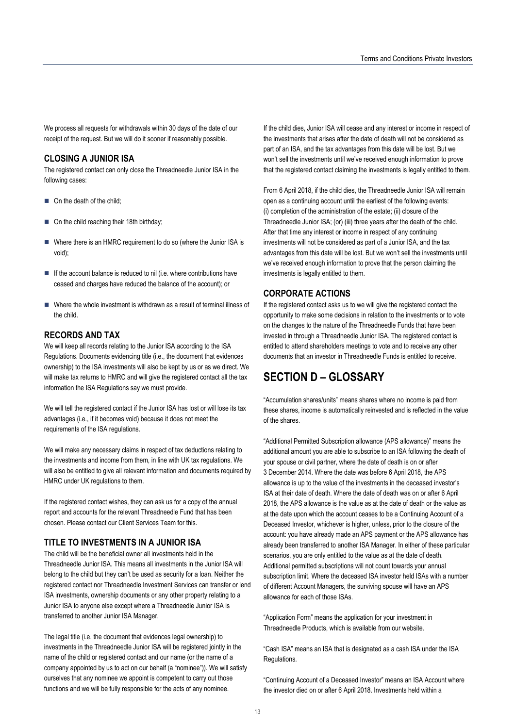We process all requests for withdrawals within 30 days of the date of our receipt of the request. But we will do it sooner if reasonably possible.

## **CLOSING A JUNIOR ISA**

The registered contact can only close the Threadneedle Junior ISA in the following cases:

- On the death of the child;
- On the child reaching their 18th birthday;
- Where there is an HMRC requirement to do so (where the Junior ISA is void);
- $\blacksquare$  If the account balance is reduced to nil (i.e. where contributions have ceased and charges have reduced the balance of the account); or
- Where the whole investment is withdrawn as a result of terminal illness of the child.

## **RECORDS AND TAX**

We will keep all records relating to the Junior ISA according to the ISA Regulations. Documents evidencing title (i.e., the document that evidences ownership) to the ISA investments will also be kept by us or as we direct. We will make tax returns to HMRC and will give the registered contact all the tax information the ISA Regulations say we must provide.

We will tell the registered contact if the Junior ISA has lost or will lose its tax advantages (i.e., if it becomes void) because it does not meet the requirements of the ISA regulations.

We will make any necessary claims in respect of tax deductions relating to the investments and income from them, in line with UK tax regulations. We will also be entitled to give all relevant information and documents required by HMRC under UK regulations to them.

If the registered contact wishes, they can ask us for a copy of the annual report and accounts for the relevant Threadneedle Fund that has been chosen. Please contact our Client Services Team for this.

## **TITLE TO INVESTMENTS IN A JUNIOR ISA**

The child will be the beneficial owner all investments held in the Threadneedle Junior ISA. This means all investments in the Junior ISA will belong to the child but they can't be used as security for a loan. Neither the registered contact nor Threadneedle Investment Services can transfer or lend ISA investments, ownership documents or any other property relating to a Junior ISA to anyone else except where a Threadneedle Junior ISA is transferred to another Junior ISA Manager.

The legal title (i.e. the document that evidences legal ownership) to investments in the Threadneedle Junior ISA will be registered jointly in the name of the child or registered contact and our name (or the name of a company appointed by us to act on our behalf (a "nominee")). We will satisfy ourselves that any nominee we appoint is competent to carry out those functions and we will be fully responsible for the acts of any nominee.

If the child dies, Junior ISA will cease and any interest or income in respect of the investments that arises after the date of death will not be considered as part of an ISA, and the tax advantages from this date will be lost. But we won't sell the investments until we've received enough information to prove that the registered contact claiming the investments is legally entitled to them.

From 6 April 2018, if the child dies, the Threadneedle Junior ISA will remain open as a continuing account until the earliest of the following events: (i) completion of the administration of the estate; (ii) closure of the Threadneedle Junior ISA; (or) (iii) three years after the death of the child. After that time any interest or income in respect of any continuing investments will not be considered as part of a Junior ISA, and the tax advantages from this date will be lost. But we won't sell the investments until we've received enough information to prove that the person claiming the investments is legally entitled to them.

### **CORPORATE ACTIONS**

If the registered contact asks us to we will give the registered contact the opportunity to make some decisions in relation to the investments or to vote on the changes to the nature of the Threadneedle Funds that have been invested in through a Threadneedle Junior ISA. The registered contact is entitled to attend shareholders meetings to vote and to receive any other documents that an investor in Threadneedle Funds is entitled to receive.

## **SECTION D – GLOSSARY**

"Accumulation shares/units" means shares where no income is paid from these shares, income is automatically reinvested and is reflected in the value of the shares.

"Additional Permitted Subscription allowance (APS allowance)" means the additional amount you are able to subscribe to an ISA following the death of your spouse or civil partner, where the date of death is on or after 3 December 2014. Where the date was before 6 April 2018, the APS allowance is up to the value of the investments in the deceased investor's ISA at their date of death. Where the date of death was on or after 6 April 2018, the APS allowance is the value as at the date of death or the value as at the date upon which the account ceases to be a Continuing Account of a Deceased Investor, whichever is higher, unless, prior to the closure of the account: you have already made an APS payment or the APS allowance has already been transferred to another ISA Manager. In either of these particular scenarios, you are only entitled to the value as at the date of death. Additional permitted subscriptions will not count towards your annual subscription limit. Where the deceased ISA investor held ISAs with a number of different Account Managers, the surviving spouse will have an APS allowance for each of those ISAs.

"Application Form" means the application for your investment in Threadneedle Products, which is available from our website.

"Cash ISA" means an ISA that is designated as a cash ISA under the ISA Regulations.

"Continuing Account of a Deceased Investor" means an ISA Account where the investor died on or after 6 April 2018. Investments held within a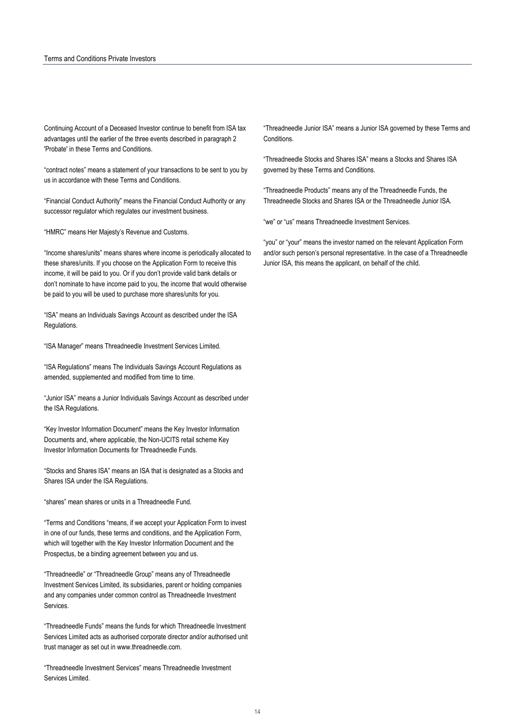Continuing Account of a Deceased Investor continue to benefit from ISA tax advantages until the earlier of the three events described in paragraph 2 'Probate' in these Terms and Conditions.

"contract notes" means a statement of your transactions to be sent to you by us in accordance with these Terms and Conditions.

"Financial Conduct Authority" means the Financial Conduct Authority or any successor regulator which regulates our investment business.

"HMRC" means Her Majesty's Revenue and Customs.

"Income shares/units" means shares where income is periodically allocated to these shares/units. If you choose on the Application Form to receive this income, it will be paid to you. Or if you don't provide valid bank details or don't nominate to have income paid to you, the income that would otherwise be paid to you will be used to purchase more shares/units for you.

"ISA" means an Individuals Savings Account as described under the ISA Regulations.

"ISA Manager" means Threadneedle Investment Services Limited.

"ISA Regulations" means The Individuals Savings Account Regulations as amended, supplemented and modified from time to time.

"Junior ISA" means a Junior Individuals Savings Account as described under the ISA Regulations.

"Key Investor Information Document" means the Key Investor Information Documents and, where applicable, the Non-UCITS retail scheme Key Investor Information Documents for Threadneedle Funds.

"Stocks and Shares ISA" means an ISA that is designated as a Stocks and Shares ISA under the ISA Regulations.

"shares" mean shares or units in a Threadneedle Fund.

"Terms and Conditions "means, if we accept your Application Form to invest in one of our funds, these terms and conditions, and the Application Form, which will together with the Key Investor Information Document and the Prospectus, be a binding agreement between you and us.

"Threadneedle" or "Threadneedle Group" means any of Threadneedle Investment Services Limited, its subsidiaries, parent or holding companies and any companies under common control as Threadneedle Investment Services.

"Threadneedle Funds" means the funds for which Threadneedle Investment Services Limited acts as authorised corporate director and/or authorised unit trust manager as set out in www.threadneedle.com.

"Threadneedle Investment Services" means Threadneedle Investment Services Limited.

"Threadneedle Junior ISA" means a Junior ISA governed by these Terms and **Conditions** 

"Threadneedle Stocks and Shares ISA" means a Stocks and Shares ISA governed by these Terms and Conditions.

"Threadneedle Products" means any of the Threadneedle Funds, the Threadneedle Stocks and Shares ISA or the Threadneedle Junior ISA.

"we" or "us" means Threadneedle Investment Services.

"you" or "your" means the investor named on the relevant Application Form and/or such person's personal representative. In the case of a Threadneedle Junior ISA, this means the applicant, on behalf of the child.